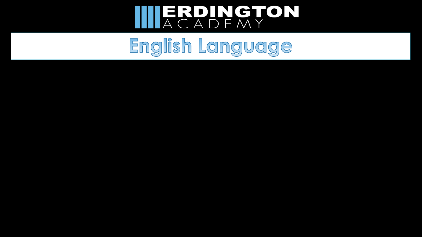English Language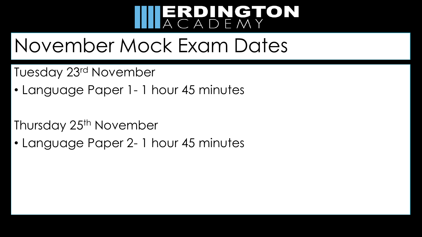### November Mock Exam Dates

- Tuesday 23rd November
- Language Paper 1- 1 hour 45 minutes

Thursday 25<sup>th</sup> November

• Language Paper 2- 1 hour 45 minutes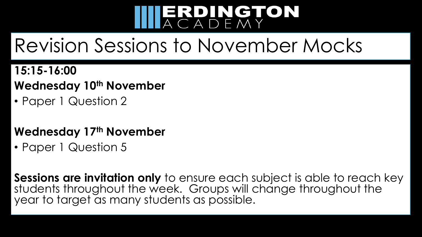### Revision Sessions to November Mocks

**15:15-16:00 Wednesday 10th November**

• Paper 1 Question 2

#### **Wednesday 17th November**

• Paper 1 Question 5

**Sessions are invitation only** to ensure each subject is able to reach key students throughout the week. Groups will change throughout the year to target as many students as possible.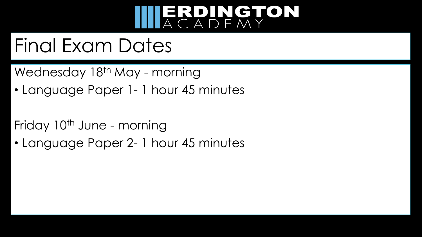### Final Exam Dates

Wednesday 18<sup>th</sup> May - morning

• Language Paper 1- 1 hour 45 minutes

Friday 10<sup>th</sup> June - morning

• Language Paper 2- 1 hour 45 minutes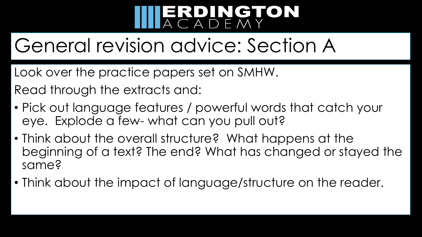### General revision advice: Section A

Look over the practice papers set on SMHW.

Read through the extracts and:

- Pick out language features / powerful words that catch your eye. Explode a few- what can you pull out?
- Think about the overall structure? What happens at the beginning of a text? The end? What has changed or stayed the same?
- Think about the impact of language/structure on the reader.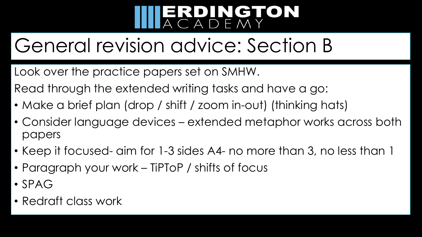### General revision advice: Section B

Look over the practice papers set on SMHW.

Read through the extended writing tasks and have a go:

- Make a brief plan (drop / shift / zoom in-out) (thinking hats)
- Consider language devices extended metaphor works across both papers
- Keep it focused- aim for 1-3 sides A4- no more than 3, no less than 1
- Paragraph your work TiPToP / shifts of focus
- SPAG
- Redraft class work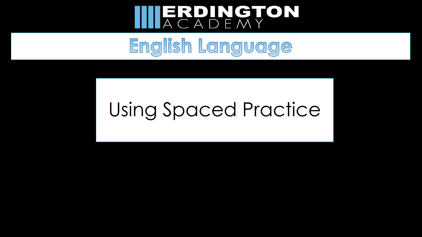English Language

### Using Spaced Practice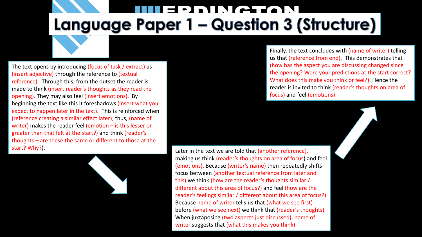### **DINATA** Language Paper 1 - Question 3 (Structure)

The text opens by introducing (focus of task / extract) as (insert adjective) through the reference to (textual reference). Through this, from the outset the reader is made to think (insert reader's thoughts as they read the opening). They may also feel (insert emotions). By beginning the text like this it foreshadows (insert what you expect to happen later in the text). This is reinforced when (reference creating a similar effect later); thus, (name of writer) makes the reader feel (emotion – is this lesser or greater than that felt at the start?) and think (reader's thoughts – are these the same or different to those at the start? Why?). Start? Why?).

Finally, the text concludes with (name of writer) telling us that (reference from end). This demonstrates that (how has the aspect you are discussing changed since the opening? Were your predictions at the start correct? What does this make you think or feel?). Hence the reader is invited to think (reader's thoughts on area of focus) and feel (emotions).

making us think (reader's thoughts on area of focus) and feel (emotions). Because (writer's name) then repeatedly shifts focus between (another textual reference from later and this) we think (how are the reader's thoughts similar / different about this area of focus?) and feel (how are the reader's feelings similar / different about this area of focus?) Because name of writer tells us that (what we see first) before (what we see next) we think that (reader's thoughts) When juxtaposing (two aspects just discussed), name of writer suggests that (what this makes you think).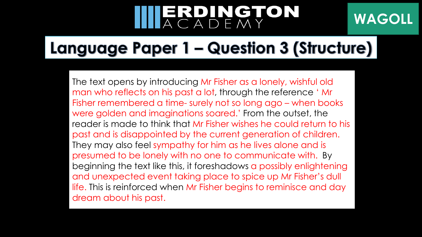### **WAGOLL**

### Language Paper 1 - Question 3 (Structure)

The text opens by introducing Mr Fisher as a lonely, wishful old man who reflects on his past a lot, through the reference ' Mr Fisher remembered a time- surely not so long ago – when books were golden and imaginations soared.' From the outset, the reader is made to think that Mr Fisher wishes he could return to his past and is disappointed by the current generation of children. They may also feel sympathy for him as he lives alone and is presumed to be lonely with no one to communicate with. By beginning the text like this, it foreshadows a possibly enlightening and unexpected event taking place to spice up Mr Fisher's dull life. This is reinforced when Mr Fisher begins to reminisce and day dream about his past.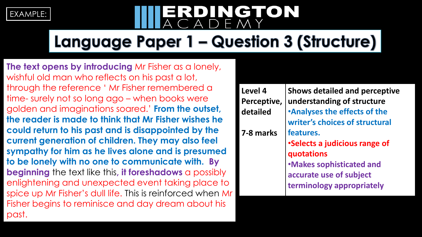

## DINGTON

### Language Paper 1 – Question 3 (Structure)

**The text opens by introducing** Mr Fisher as a lonely, wishful old man who reflects on his past a lot, through the reference ' Mr Fisher remembered a time- surely not so long ago – when books were golden and imaginations soared.' **From the outset, the reader is made to think that Mr Fisher wishes he could return to his past and is disappointed by the current generation of children. They may also feel sympathy for him as he lives alone and is presumed to be lonely with no one to communicate with. By beginning** the text like this**, it foreshadows** a possibly enlightening and unexpected event taking place to spice up Mr Fisher's dull life. This is reinforced when Mr Fisher begins to reminisce and day dream about his past.

| Level 4<br>Perceptive,<br>detailed<br>7-8 marks | <b>Shows detailed and perceptive</b><br>understanding of structure<br><b>Analyses the effects of the</b><br>writer's choices of structural<br>features. |
|-------------------------------------------------|---------------------------------------------------------------------------------------------------------------------------------------------------------|
|                                                 | <b>.Selects a judicious range of</b><br>quotations<br><b>.Makes sophisticated and</b><br>accurate use of subject<br>terminology appropriately           |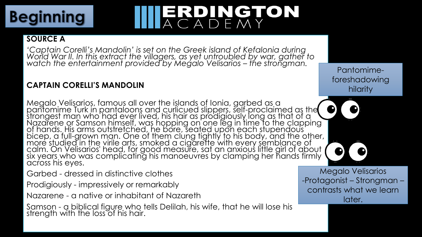### **Beginning**

# ERDINGTON

#### **SOURCE A**

*'Captain Corelli's Mandolin' is set on the Greek island of Kefalonia during World War II. In this extract the villagers, as yet untroubled by war, gather to watch the entertainment provided by Megalo Velisarios – the strongman.*

#### **CAPTAIN CORELLI'S MANDOLIN**

Megalo Velisarios, famous all over the islands of Ionia, garbed as a pantomime Turk in pantaloons and curlicued slippers, self-proclaimed as the strongest man who had ever lived, his hair as prodigiously long as that of a Nazarene or Samson himself, was hopping on one leg in time to the clapping of hands. His arms outstretched, he bore, seated upon each stupendous bicep, a full-grown man. One of them clung tightly to his body, and the other, more studied in the virile arts, smoked a cigarette with every semblance of calm. On Velisarios' head, for good measure, sat an anxious little girl of about six years who was complicating his manoeuvres by clamping her hands firmly across his eyes.

Garbed - dressed in distinctive clothes

Prodigiously - impressively or remarkably

Nazarene - a native or inhabitant of Nazareth

Samson - a biblical figure who tells Delilah, his wife, that he will lose his strength with the loss of his hair.

Pantomimeforeshadowing hilarity

Megalo Velisarios -Protagonist – Strongman – contrasts what we learn later.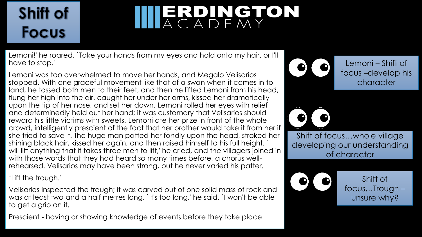### **Shift of Focus**

## ILERDINGTON

Lemoni!' he roared. `Take your hands from my eyes and hold onto my hair, or I'll have to stop.'

Lemoni was too overwhelmed to move her hands, and Megalo Velisarios stopped. With one graceful movement like that of a swan when it comes in to land, he tossed both men to their feet, and then he lifted Lemoni from his head, flung her high into the air, caught her under her arms, kissed her dramatically upon the tip of her nose, and set her down. Lemoni rolled her eyes with relief and determinedly held out her hand; it was customary that Velisarios should reward his little victims with sweets. Lemoni ate her prize in front of the whole crowd, intelligently prescient of the fact that her brother would take it from her if she tried to save it. The huge man patted her fondly upon the head, stroked her shining black hair, kissed her again, and then raised himself to his full height. `I will lift anything that it takes three men to lift,' he cried, and the villagers joined in with those words that they had heard so many times before, a chorus wellrehearsed. Velisarios may have been strong, but he never varied his patter.

'Lift the trough.'

Velisarios inspected the trough; it was carved out of one solid mass of rock and was at least two and a half metres long. `It's too long,' he said, `I won't be able to get a grip on it.'

Prescient - having or showing knowledge of events before they take place



Lemoni – Shift of focus –develop his character



Shift of focus…whole village developing our understanding of character



Shift of focus…Trough – unsure why?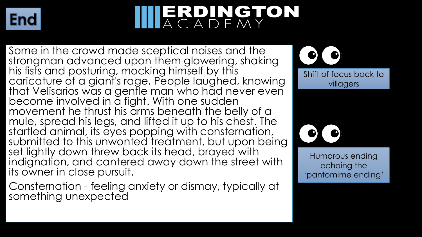

Some in the crowd made sceptical noises and the strongman advanced upon them glowering, shaking his fists and posturing, mocking himself by this caricature of a giant's rage. People laughed, knowing that Velisarios was a gentle man who had never even become involved in a fight. With one sudden movement he thrust his arms beneath the belly of a mule, spread his legs, and lifted it up to his chest. The startled animal, its eyes popping with consternation, submitted to this unwonted treatment, but upon being set lightly down threw back its head, brayed with indignation, and cantered away down the street with its owner in close pursuit.

Consternation - feeling anxiety or dismay, typically at something unexpected





Humorous ending echoing the 'pantomime ending'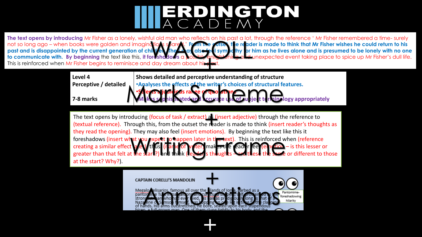The text opens by introducing Mr Fisher as a lonely, wishful old man who reflects on his past a lot, through the reference ' Mr Fisher remembered a time- surely not so long ago – when books were golden and imaginations solven in the outset of the reader is made to think that Mr Fisher wishes he could return to his past and is disappointed by the current generation of child the **Al** past and is disappointed by the current generation of child en the *Logical* also feel sympathy for him as he lives alone and is presumed to be lonely with no one **to communicate with. By beginning** the text like this**, it foreshadows** a possibly enlightening and unexpected event taking place to spice up Mr Fisher's dull life. This is reinforced when Mr Fisher begins to reminisce and day dream about his





+